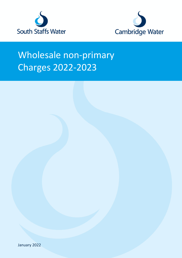



# Wholesale non-primary Charges 2022-2023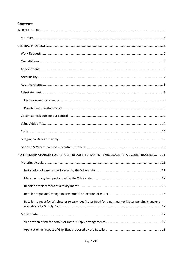## **Contents**

| NON PRIMARY CHARGES FOR RETAILER REQUESTED WORKS - WHOLESALE RETAIL CODE PROCESSES 11              |
|----------------------------------------------------------------------------------------------------|
|                                                                                                    |
|                                                                                                    |
|                                                                                                    |
|                                                                                                    |
|                                                                                                    |
| Retailer request for Wholesaler to carry out Meter Read for a non-market Meter pending transfer or |
|                                                                                                    |
|                                                                                                    |
|                                                                                                    |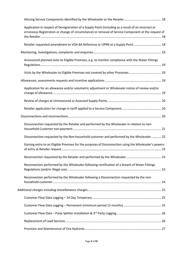| Application in respect of Deregistration of a Supply Point (including as a result of an incorrect or<br>erroneous Registration or change of circumstance) or removal of Service Component at the request of |  |
|-------------------------------------------------------------------------------------------------------------------------------------------------------------------------------------------------------------|--|
| Retailer requested amendment to VOA BA Reference or UPRN at a Supply Point  18                                                                                                                              |  |
|                                                                                                                                                                                                             |  |
| Announced planned visits to Eligible Premises, e.g. to monitor compliance with the Water Fittings                                                                                                           |  |
|                                                                                                                                                                                                             |  |
|                                                                                                                                                                                                             |  |
| Application for an allowance and/or volumetric adjustment or Wholesaler notice of review and/or                                                                                                             |  |
|                                                                                                                                                                                                             |  |
|                                                                                                                                                                                                             |  |
|                                                                                                                                                                                                             |  |
| Disconnection requested by the Retailer and performed by the Wholesaler in relation to non-                                                                                                                 |  |
| Disconnection requested by the Non-household customer and performed by the Wholesaler 22                                                                                                                    |  |
| Gaining entry to an Eligible Premises for the purposes of Disconnection using the Wholesaler's powers                                                                                                       |  |
|                                                                                                                                                                                                             |  |
| Reconnection performed by the Wholesaler following rectification of a breach of Water Fittings                                                                                                              |  |
| Reconnection performed by the Wholesaler following a Disconnection requested by the non-                                                                                                                    |  |
|                                                                                                                                                                                                             |  |
|                                                                                                                                                                                                             |  |
|                                                                                                                                                                                                             |  |
|                                                                                                                                                                                                             |  |
|                                                                                                                                                                                                             |  |
|                                                                                                                                                                                                             |  |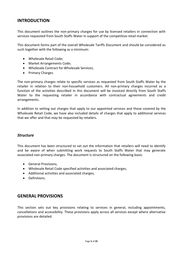## <span id="page-4-0"></span>**INTRODUCTION**

This document outlines the non-primary charges for use by licensed retailers in connection with services requested from South Staffs Water in support of the competitive retail market.

This document forms part of the overall Wholesale Tariffs Document and should be considered as such together with the following as a minimum:

- Wholesale Retail Code;
- Market Arrangements Code;
- Wholesale Contract for Wholesale Services;
- Primary Charges.

The non-primary charges relate to specific services as requested from South Staffs Water by the retailer in relation to their non-household customers. All non-primary charges incurred as a function of the activities described in this document will be invoiced directly from South Staffs Water to the requesting retailer in accordance with contractual agreements and credit arrangements.

In addition to setting out charges that apply to our appointed services and those covered by the Wholesale Retail Code, we have also included details of charges that apply to additional services that we offer and that may be requested by retailers.

#### <span id="page-4-1"></span>*Structure*

This document has been structured to set out the information that retailers will need to identify and be aware of when submitting work requests to South Staffs Water that may generate associated non-primary charges. The document is structured on the following basis:

- General Provisions;
- Wholesale Retail Code specified activities and associated charges;
- Additional activities and associated charges;
- Definitions.

#### <span id="page-4-2"></span>**GENERAL PROVISIONS**

This section sets out key provisions relating to services in general, including appointments, cancellations and accessibility. These provisions apply across all services except where alternative provisions are detailed.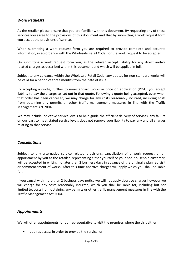#### <span id="page-5-0"></span>*Work Requests*

As the retailer please ensure that you are familiar with this document. By requesting any of these services you agree to the provisions of this document and that by submitting a work request form you accept the provisions of service.

When submitting a work request form you are required to provide complete and accurate information, in accordance with the Wholesale Retail Code, for the work request to be accepted.

On submitting a work request form you, as the retailer, accept liability for any direct and/or related charges as described within this document and which will be applied in full.

Subject to any guidance within the Wholesale Retail Code, any quotes for non-standard works will be valid for a period of three months from the date of issue.

By accepting a quote, further to non-standard works or price on application (POA), you accept liability to pay the charges as set out in that quote. Following a quote being accepted, even when that order has been cancelled, we may charge for any costs reasonably incurred, including costs from obtaining any permits or other traffic management measures in line with the Traffic Management Act 2004.

We may include indicative service levels to help guide the efficient delivery of services, any failure on our part to meet stated service levels does not remove your liability to pay any and all charges relating to that service.

#### <span id="page-5-1"></span>*Cancellations*

Subject to any alternative service related provisions, cancellation of a work request or an appointment by you as the retailer, representing either yourself or your non-household customer, will be accepted in writing no later than 2 business days in advance of the originally planned visit or commencement of works. After this time abortive charges will apply which you shall be liable for.

If you cancel with more than 2 business days notice we will not apply abortive charges however we will charge for any costs reasonably incurred, which you shall be liable for, including but not limited to, costs from obtaining any permits or other traffic management measures in line with the Traffic Management Act 2004.

#### <span id="page-5-2"></span>*Appointments*

We will offer appointments for our representative to visit the premises where the visit either:

• requires access in order to provide the service; or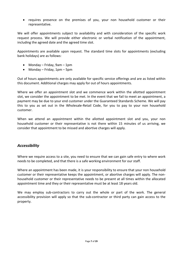• requires presence on the premises of you, your non household customer or their representative.

We will offer appointments subject to availability and with consideration of the specific work request process. We will provide either electronic or verbal notification of the appointment, including the agreed date and the agreed time slot.

Appointments are available upon request. The standard time slots for appointments (excluding bank holidays) are as follows:

- Monday Friday, 9am 1pm
- Monday Friday, 1pm 5pm

Out of hours appointments are only available for specific service offerings and are as listed within this document. Additional charges may apply for out of hours appointments.

Where we offer an appointment slot and we commence work within the allotted appointment slot, we consider the appointment to be met. In the event that we fail to meet an appointment, a payment may be due to your end customer under the Guaranteed Standards Scheme. We will pay this to you as set out in the Wholesale-Retail Code, for you to pay to your non household customer.

When we attend an appointment within the allotted appointment slot and you, your non household customer or their representative is not there within 15 minutes of us arriving, we consider that appointment to be missed and abortive charges will apply.

#### <span id="page-6-0"></span>*Accessibility*

Where we require access to a site, you need to ensure that we can gain safe entry to where work needs to be completed, and that there is a safe working environment for our staff.

Where an appointment has been made, it is your responsibility to ensure that your non household customer or their representative keeps the appointment, or abortive charges will apply. The nonhousehold customer or their representative needs to be present at all times within the allocated appointment time and they or their representative must be at least 18 years old.

We may employ sub-contractors to carry out the whole or part of the work. The general accessibility provision will apply so that the sub-contractor or third party can gain access to the property.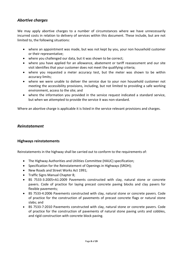#### <span id="page-7-0"></span>*Abortive charges*

We may apply abortive charges to a number of circumstances where we have unnecessarily incurred costs in relation to delivery of services within this document. These include, but are not limited to, the following situations:

- where an appointment was made, but was not kept by you, your non household customer or their representative;
- where you challenged our data, but it was shown to be correct;
- where you have applied for an allowance, abatement or tariff reassessment and our site visit identifies that your customer does not meet the qualifying criteria;
- where you requested a meter accuracy test, but the meter was shown to be within accuracy limits;
- where we were unable to deliver the service due to your non household customer not meeting the accessibility provisions, including, but not limited to providing a safe working environment, access to the site; and
- where the information you provided in the service request indicated a standard service, but when we attempted to provide the service it was non-standard.

Where an abortive charge is applicable it is listed in the service relevant provisions and charges.

#### <span id="page-7-1"></span>*Reinstatement*

#### <span id="page-7-2"></span>**Highways reinstatements**

Reinstatements in the highway shall be carried out to conform to the requirements of:

- The Highway Authorities and Utilities Committee (HAUC) specification;
- Specification for the Reinstatement of Openings in Highways (SROH);
- New Roads and Street Works Act 1991;
- Traffic Signs Manual Chapter 8;
- BS 7533-3:2005+A1:2009 Pavements constructed with clay, natural stone or concrete pavers. Code of practice for laying precast concrete paving blocks and clay pavers for flexible pavements;
- BS 7533-4:2006 Pavements constructed with clay, natural stone or concrete pavers. Code of practice for the construction of pavements of precast concrete flags or natural stone slabs; and
- BS 7533-7:2010 Pavements constructed with clay, natural stone or concrete pavers. Code of practice for the construction of pavements of natural stone paving units and cobbles, and rigid construction with concrete block paving.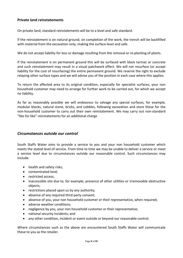#### <span id="page-8-0"></span>**Private land reinstatements**

On private land, standard reinstatements will be to a level and safe standard.

If the reinstatement is on natural ground, on completion of the work, the trench will be backfilled with material from the excavation only, making the surface level and safe.

We do not accept liability for loss or damage resulting from the removal or re-planting of plants.

If the reinstatement is on permanent ground this will be surfaced with black tarmac or concrete and such reinstatement may result in a visual patchwork effect. We will not resurface (or accept liability for the cost of resurfacing) the entire permanent ground. We reserve the right to exclude relaying other surface types and we will advise you of the position in each case where this applies.

To return the affected area to its original condition, especially for specialist surfaces, your non household customer may need to arrange for further work to be carried out, for which we accept no liability.

As far as reasonably possible we will endeavour to salvage any special surfaces, for example, modular blocks, natural stone, bricks, and cobbles, following excavation and store these for the non-household customer to carry out their own reinstatement. We may carry out non-standard "like for like" reinstatements for an additional charge

#### <span id="page-8-1"></span>*Circumstances outside our control*

South Staffs Water aims to provide a service to you and your non household customer which meets the stated level of service. From time to time we may be unable to deliver a service or meet a service level due to circumstances outside our reasonable control. Such circumstances may include:

- health and safety risks;
- contaminated land;
- restricted access;
- inaccessible site due to, for example, presence of other utilities or irremovable obstructive objects;
- restrictions placed upon us by any authority;
- absence of any required third party consent;
- absence of you, your non household customer or their representative, when required;
- adverse weather conditions;
- negligence by you, your non household customer or their representative;
- national security incidents; and
- any other condition, incident or event outside or beyond our reasonable control.

Where circumstances such as the above are encountered South Staffs Water will communicate these to you as the retailer.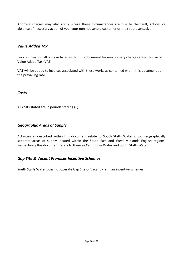Abortive charges may also apply where these circumstances are due to the fault, actions or absence of necessary action of you, your non household customer or their representative.

#### <span id="page-9-0"></span>*Value Added Tax*

For confirmation all costs as listed within this document for non primary charges are exclusive of Value Added Tax (VAT).

VAT will be added to invoices associated with these works as contained within this document at the prevailing rate.

#### <span id="page-9-1"></span>*Costs*

All costs stated are in pounds sterling (£).

#### <span id="page-9-2"></span>*Geographic Areas of Supply*

Activities as described within this document relate to South Staffs Water's two geographically separate areas of supply located within the South East and West Midlands English regions. Respectively this document refers to them as Cambridge Water and South Staffs Water.

#### <span id="page-9-3"></span>*Gap Site & Vacant Premises Incentive Schemes*

South Staffs Water does not operate Gap Site or Vacant Premises incentive schemes.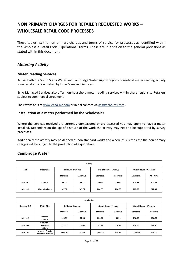# <span id="page-10-0"></span>**NON PRIMARY CHARGES FOR RETAILER REQUESTED WORKS – WHOLESALE RETAIL CODE PROCESSES**

These tables list the non primary charges and terms of service for processes as identified within the Wholesale Retail Code, Operational Terms. These are in addition to the general provisions as stated within this document.

#### <span id="page-10-1"></span>*Metering Activity*

#### **Meter Reading Services**

Across both our South Staffs Water and Cambridge Water supply regions household meter reading activity is undertaken on our behalf by Echo Managed Services.

Echo Managed Services also offer non-household meter reading services within these regions to Retailers subject to commercial agreement.

<span id="page-10-2"></span>Their website is a[t www.echo-ms.com](http://www.echo-ms.com/) or initial contact via [ask@echo-ms.com](mailto:ask@echo-ms.com) .

#### **Installation of a meter performed by the Wholesaler**

Where the services received are currently unmeasured or are assessed you may apply to have a meter installed. Dependant on the specific nature of the work the activity may need to be supported by survey processes.

Additionally the activity may be defined as non standard works and where this is the case the non primary charges will be subject to the production of a quotation.

#### **Cambridge Water**

| Survey     |                                         |                 |                 |                        |                 |                        |          |  |  |  |
|------------|-----------------------------------------|-----------------|-----------------|------------------------|-----------------|------------------------|----------|--|--|--|
| Ref        | <b>Meter Size</b><br>In Hours - Daytime |                 |                 | Out of Hours - Evening |                 | Out of Hours - Weekend |          |  |  |  |
|            |                                         | <b>Standard</b> | <b>Abortive</b> | <b>Standard</b>        | <b>Abortive</b> | <b>Standard</b>        | Abortive |  |  |  |
| $B1 - cw1$ | $<$ 40 $mm$                             | 53.17           | 53.17           | 79.00                  | 79.00           | 104.83                 | 104.83   |  |  |  |
| $B1 - cw2$ | 40mm & above                            | 167.32          | 167.32          | 266.83                 | 266.83          | 217.08                 | 217.08   |  |  |  |

| Installation        |                                      |                    |                 |          |                        |          |                        |  |  |  |
|---------------------|--------------------------------------|--------------------|-----------------|----------|------------------------|----------|------------------------|--|--|--|
| <b>Internal Ref</b> | <b>Meter Size</b>                    | In Hours - Daytime |                 |          | Out of Hours - Evening |          | Out of Hours - Weekend |  |  |  |
|                     |                                      | Standard           | <b>Abortive</b> | Standard | <b>Abortive</b>        | Standard | <b>Abortive</b>        |  |  |  |
| $B1 - cw3$          | Internal<br>$<$ 40 $mm$              | 150.73             | 54.68           | 224.60   | 80.51                  | 298.46   | 106.34                 |  |  |  |
| $B1 - cw4$          | Screw In-<br>External<br>$<$ 40 $mm$ | 227.17             | 170.94          | 282.55   | 226.31                 | 314.44   | 258.20                 |  |  |  |
| $B1 - cw5$          | In Line - Private<br>40mm and above  | 1786.60            | 289.26          | 2656.71  | 458.97                 | 2221.65  | 374.06                 |  |  |  |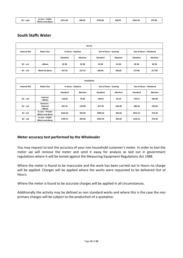| 2332.28<br>289.26<br>D.4<br>2792.86<br>458.97<br>1871.69<br>.<br>'. – сw6<br>Dт<br>40mm and above |  | Public<br>In Line – |  |  |  |  |  | 374.06 |
|---------------------------------------------------------------------------------------------------|--|---------------------|--|--|--|--|--|--------|
|---------------------------------------------------------------------------------------------------|--|---------------------|--|--|--|--|--|--------|

## **South Staffs Water**

| Survey              |                   |          |                                              |                 |          |                        |                 |  |  |  |
|---------------------|-------------------|----------|----------------------------------------------|-----------------|----------|------------------------|-----------------|--|--|--|
| <b>Internal Ref</b> | <b>Meter Size</b> |          | Out of Hours - Evening<br>In Hours - Daytime |                 |          | Out of Hours - Weekend |                 |  |  |  |
|                     |                   | Standard | Abortive                                     | <b>Standard</b> | Abortive | <b>Standard</b>        | <b>Abortive</b> |  |  |  |
| $B1 - ss1$          | $<$ 40 $mm$       | 32.98    | 32.98                                        | 43.38           | 43.38    | 49.36                  | 49.36           |  |  |  |
| $B1 - ss2$          | 40mm & above      | 167.32   | 167.32                                       | 266.83          | 266.83   | 217.08                 | 217.08          |  |  |  |

| Installation        |                                     |                    |          |                        |                 |                        |                 |  |  |  |  |
|---------------------|-------------------------------------|--------------------|----------|------------------------|-----------------|------------------------|-----------------|--|--|--|--|
| <b>Internal Ref</b> | <b>Meter Size</b>                   | In Hours - Daytime |          | Out of Hours - Evening |                 | Out of Hours - Weekend |                 |  |  |  |  |
|                     |                                     | <b>Standard</b>    | Abortive | <b>Standard</b>        | <b>Abortive</b> | <b>Standard</b>        | <b>Abortive</b> |  |  |  |  |
| $B1 - ss3$          | Internal<br><40mm                   | 118.26             | 70.82    | 140.63                 | 93.19           | 153.51                 | 106.08          |  |  |  |  |
| $B1 - ss4$          | Screw $In -$<br>External<br><40mm   | 207.35             | 154.89   | 257.44                 | 204.98          | 286.28                 | 233.83          |  |  |  |  |
| $B1 - ss5$          | In Line - Private<br>40mm and above | 1625.04            | 287.82   | 2399.23                | 456.69          | 2012.13                | 372.20          |  |  |  |  |
| $B1 - ss6$          | In Line - Public<br>40mm and above  | 1709.72            | 287.82   | 2534.70                | 456.69          | 2122.21                | 372.20          |  |  |  |  |

#### <span id="page-11-0"></span>**Meter accuracy test performed by the Wholesaler**

You may request to test the accuracy of your non household customer's meter. In order to test the meter we will remove the meter and send it away for analysis as laid out in government regulations where it will be tested against the Measuring Equipment Regulations Act 1988.

Where the meter is found to be inaccurate and the work has been carried out In Hours no charge will be applied. Charges will be applied where the works were requested to be delivered Out of Hours.

Where the meter is found to be accurate charges will be applied in all circumstances.

Additionally the activity may be defined as non standard works and where this is the case the non primary charges will be subject to the production of a quotation.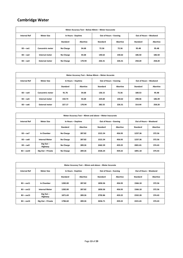# **Cambridge Water**

| Meter Accuracy Test - Below 40mm - Meter Inaccurate |                         |                    |          |                        |                 |                        |                 |  |  |  |
|-----------------------------------------------------|-------------------------|--------------------|----------|------------------------|-----------------|------------------------|-----------------|--|--|--|
| <b>Internal Ref</b>                                 | <b>Meter Size</b>       | In Hours - Daytime |          | Out of Hours - Evening |                 | Out of Hours - Weekend |                 |  |  |  |
|                                                     |                         | <b>Standard</b>    | Abortive | Standard               | <b>Abortive</b> | Standard               | <b>Abortive</b> |  |  |  |
| $B3 - c \cdot w1$                                   | <b>Concentric meter</b> | No Charge          | 54.68    | 72.36                  | 72.36           | 95.48                  | 95.48           |  |  |  |
| $B3 - cw2$                                          | Internal meter          | No Charge          | 54.68    | 140.62                 | 140.62          | 186.50                 | 186.50          |  |  |  |
| $B3 - cw3$                                          | <b>External meter</b>   | No Charge          | 170.94   | 226.31                 | 226.31          | 258.20                 | 258.20          |  |  |  |

| Meter Accuracy Test - Below 40mm - Meter Accurate |                         |                    |          |                        |                 |                        |                 |  |  |  |
|---------------------------------------------------|-------------------------|--------------------|----------|------------------------|-----------------|------------------------|-----------------|--|--|--|
| <b>Internal Ref</b>                               | <b>Meter Size</b>       | In Hours - Daytime |          | Out of Hours - Evening |                 | Out of Hours - Weekend |                 |  |  |  |
|                                                   |                         | Standard           | Abortive | Standard               | <b>Abortive</b> | Standard               | <b>Abortive</b> |  |  |  |
| $B3 - c \cdot W4$                                 | <b>Concentric meter</b> | 91.76              | 54.68    | 136.15                 | 72.36           | 180.53                 | 95.48           |  |  |  |
| $B3 - c \le 5$                                    | Internal meter          | 150.73             | 54.68    | 224.60                 | 140.62          | 298.46                 | 186.49          |  |  |  |
| $B3 - c \cdot w6$                                 | <b>External meter</b>   | 227.17             | 170.94   | 282.55                 | 226.31          | 314.44                 | 258.20          |  |  |  |

| Meter Accuracy Test - 40mm and above - Meter Inaccurate |                        |                    |          |                        |                 |                        |                 |  |  |  |
|---------------------------------------------------------|------------------------|--------------------|----------|------------------------|-----------------|------------------------|-----------------|--|--|--|
| <b>Internal Ref</b>                                     | <b>Meter Size</b>      | In Hours - Daytime |          | Out of Hours - Evening |                 | Out of Hours - Weekend |                 |  |  |  |
|                                                         |                        | <b>Standard</b>    | Abortive | Standard               | <b>Abortive</b> | <b>Standard</b>        | <b>Abortive</b> |  |  |  |
| $B3 - cw7$                                              | In Chamber             | No Charge          | 287.82   | 1521.54                | 456.93          | 1237.36                | 372.56          |  |  |  |
| $B3 - cw8$                                              | <b>Internal Meter</b>  | No Charge          | 287.82   | 1521.54                | 456.93          | 1237.36                | 372.56          |  |  |  |
| $B3 - cw9$                                              | Dig Out $-$<br>Highway | No Charge          | 289.26   | 2462.39                | 459.22          | 2001.81                | 374.43          |  |  |  |
| $B3 - c \le 10$                                         | Dig Out - Private      | No Charge          | 289.26   | 2326.24                | 459.22          | 1891.18                | 374.43          |  |  |  |

| Meter Accuracy Test - 40mm and above - Meter Accurate |                        |                    |          |                        |          |                        |          |  |  |  |
|-------------------------------------------------------|------------------------|--------------------|----------|------------------------|----------|------------------------|----------|--|--|--|
| <b>Internal Ref</b>                                   | <b>Meter Size</b>      | In Hours - Daytime |          | Out of Hours - Evening |          | Out of Hours - Weekend |          |  |  |  |
|                                                       |                        | <b>Standard</b>    | Abortive | Standard               | Abortive | <b>Standard</b>        | Abortive |  |  |  |
| $B3 - c \le 11$                                       | In Chamber             | 1282.00            | 287.82   | 1850.36                | 456.93   | 1566.18                | 372.56   |  |  |  |
| $B3 - c \le 12$                                       | <b>Internal Meter</b>  | 1282.00            | 287.82   | 1850.36                | 456.93   | 1566.18                | 372.56   |  |  |  |
| $B3 - c \le 13$                                       | Dig Out $-$<br>Highway | 1871.69            | 289.26   | 2792.86                | 459.22   | 2332.28                | 374.43   |  |  |  |
| $B3 - c \le 14$                                       | Dig Out - Private      | 1786.60            | 289.26   | 2656.71                | 459.22   | 2221.65                | 374.43   |  |  |  |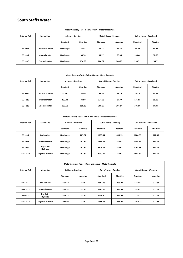## **South Staffs Water**

| Meter Accuracy Test - Below 40mm - Meter Inaccurate |                         |                    |          |                        |          |                        |                 |  |
|-----------------------------------------------------|-------------------------|--------------------|----------|------------------------|----------|------------------------|-----------------|--|
| <b>Internal Ref</b>                                 | <b>Meter Size</b>       | In Hours - Daytime |          | Out of Hours - Evening |          | Out of Hours - Weekend |                 |  |
|                                                     |                         | <b>Standard</b>    | Abortive | Standard               | Abortive | Standard               | <b>Abortive</b> |  |
| $B3 - ss1$                                          | <b>Concentric meter</b> | No Charge          | 34.58    | 56.22                  | 56.22    | 63.83                  | 63.83           |  |
| $B3 - ss2$                                          | Internal meter          | No Charge          | 34.58    | 95.27                  | 86.98    | 108.46                 | 98.98           |  |
| $B3 - ss3$                                          | <b>External meter</b>   | No Charge          | 154.89   | 204.87                 | 204.87   | 233.71                 | 233.71          |  |

| Meter Accuracy Test - Below 40mm - Meter Accurate |                         |                    |          |          |                        |                 |                        |  |
|---------------------------------------------------|-------------------------|--------------------|----------|----------|------------------------|-----------------|------------------------|--|
| <b>Internal Ref</b>                               | <b>Meter Size</b>       | In Hours - Daytime |          |          | Out of Hours - Evening |                 | Out of Hours - Weekend |  |
|                                                   |                         | <b>Standard</b>    | Abortive | Standard | Abortive               | <b>Standard</b> | <b>Abortive</b>        |  |
| $B3 - ss4$                                        | <b>Concentric meter</b> | 81.40              | 34.90    | 94.30    | 57.29                  | 101.70          | 64.52                  |  |
| $B3 - ss5$                                        | Internal meter          | 103.92             | 34.90    | 124.25   | 87.77                  | 135.95          | 99.88                  |  |
| $B3 - ss6$                                        | <b>External meter</b>   | 202.68             | 156.30   | 268.57   | 206.84                 | 306.50          | 235.95                 |  |

| Meter Accuracy Test - 40mm and above - Meter Inaccurate |                        |                    |                 |                        |                 |                        |          |  |
|---------------------------------------------------------|------------------------|--------------------|-----------------|------------------------|-----------------|------------------------|----------|--|
| <b>Internal Ref</b>                                     | <b>Meter Size</b>      | In Hours - Daytime |                 | Out of Hours - Evening |                 | Out of Hours - Weekend |          |  |
|                                                         |                        | <b>Standard</b>    | <b>Abortive</b> | <b>Standard</b>        | <b>Abortive</b> | <b>Standard</b>        | Abortive |  |
| $B3 - ss7$                                              | In Chamber             | No Charge          | 287.82          | 1333.64                | 456.93          | 1084.69                | 372.56   |  |
| $B3 - ss8$                                              | <b>Internal Meter</b>  | No Charge          | 287.82          | 1333.64                | 456.93          | 1084.69                | 372.56   |  |
| $B3 - ss9$                                              | Dig Out $-$<br>Highway | No Charge          | 287.82          | 2205.87                | 456.93          | 1793.38                | 372.56   |  |
| $B3 - ss10$                                             | Dig Out - Private      | No Charge          | 287.82          | 2070.40                | 456.93          | 1683.31                | 372.56   |  |

<span id="page-13-0"></span>

| Meter Accuracy Test - 40mm and above - Meter Accurate |                        |                    |          |                        |          |                        |          |  |
|-------------------------------------------------------|------------------------|--------------------|----------|------------------------|----------|------------------------|----------|--|
| <b>Internal Ref</b>                                   | <b>Meter Size</b>      | In Hours - Daytime |          | Out of Hours - Evening |          | Out of Hours - Weekend |          |  |
|                                                       |                        | <b>Standard</b>    | Abortive | Standard               | Abortive | <b>Standard</b>        | Abortive |  |
| $B3 - ss11$                                           | In Chamber             | 1164.57            | 287.82   | 1662.46                | 456.93   | 1413.51                | 372.56   |  |
| $B3 - ss12$                                           | <b>Internal Meter</b>  | 1164.57            | 287.82   | 1662.46                | 456.93   | 1413.51                | 372.56   |  |
| $B3 - ss13$                                           | Dig Out $-$<br>Highway | 1709.72            | 287.82   | 2534.70                | 456.93   | 2122.21                | 372.56   |  |
| $B3 - ss14$                                           | Dig Out - Private      | 1625.04            | 287.82   | 2399.23                | 456.93   | 2012.13                | 372.56   |  |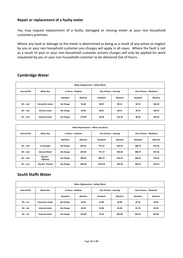#### **Repair or replacement of a faulty meter**

You may request replacement of a faulty, damaged or missing meter at your non household customers premises.

Where any fault or damage to the meter is determined as being as a result of any action or neglect by you or your non household customer you charges will apply in all cases. Where the fault is not as a result of your or your non household customer actions charges will only be applied for work requested by you or your non household customer to be delivered Out of Hours.

| Meter Replacement - Below 40mm |                         |                    |          |                        |                 |                        |                 |  |
|--------------------------------|-------------------------|--------------------|----------|------------------------|-----------------|------------------------|-----------------|--|
| <b>Internal Ref</b>            | <b>Meter Size</b>       | In Hours - Daytime |          | Out of Hours - Evening |                 | Out of Hours - Weekend |                 |  |
|                                |                         | <b>Standard</b>    | Abortive | Standard               | <b>Abortive</b> | <b>Standard</b>        | <b>Abortive</b> |  |
| $B5 - cw1$                     | <b>Concentric meter</b> | No Charge          | 54.68    | 48.87                  | 80.51           | 94.74                  | 106.34          |  |
| $B5 - cw2$                     | Internal meter          | No Charge          | 54.68    | 48.87                  | 80.51           | 94.74                  | 106.34          |  |
| $B5 - cw3$                     | <b>External meter</b>   | No Charge          | 170.09   | 58.09                  | 225.19          | 90.06                  | 256.92          |  |

#### **Cambridge Water**

| Meter Replacement - 40mm and above |                        |                    |                 |                        |          |                        |                 |  |
|------------------------------------|------------------------|--------------------|-----------------|------------------------|----------|------------------------|-----------------|--|
| <b>Internal Ref</b>                | <b>Meter Size</b>      | In Hours - Daytime |                 | Out of Hours - Evening |          | Out of Hours - Weekend |                 |  |
|                                    |                        | <b>Standard</b>    | <b>Abortive</b> | Standard               | Abortive | <b>Standard</b>        | <b>Abortive</b> |  |
| $B5 - c \cdot 4$                   | In Chamber             | No Charge          | 287.82          | 771.57                 | 456.93   | 388.74                 | 372.56          |  |
| $B5 - c w5$                        | <b>Internal Meter</b>  | No Charge          | 287.82          | 771.57                 | 456.93   | 388.74                 | 372.56          |  |
| $B5 - c \cdot w6$                  | Dig Out $-$<br>Highway | No Charge          | 289.26          | 806.72                 | 459.22   | 566.41                 | 374.43          |  |
| $B5 - cw7$                         | Dig Out - Private      | No Charge          | 289.26          | 1074.33                | 459.22   | 540.14                 | 374.43          |  |

#### **South Staffs Water**

| Meter Replacement - Below 40mm |                         |                    |                 |                        |                 |                        |          |
|--------------------------------|-------------------------|--------------------|-----------------|------------------------|-----------------|------------------------|----------|
| <b>Internal Ref</b>            | <b>Meter Size</b>       | In Hours - Daytime |                 | Out of Hours - Evening |                 | Out of Hours - Weekend |          |
|                                |                         | Standard           | <b>Abortive</b> | <b>Standard</b>        | <b>Abortive</b> | Standard               | Abortive |
| $B5 - ss1$                     | <b>Concentric meter</b> | No Charge          | 34.58           | 23.80                  | 44.98           | 35.78                  | 50.95    |
| $B5 - ss2$                     | Internal meter          | No Charge          | 34.58           | 23.80                  | 44.98           | 35.78                  | 50.95    |
| $B5 - ss3$                     | <b>External meter</b>   | No Charge          | 154.90          | 70.42                  | 204.98          | 109.25                 | 233.83   |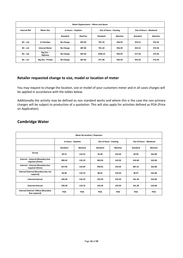| Meter Replacement - 40mm and above |                        |                    |          |                        |          |                        |          |  |
|------------------------------------|------------------------|--------------------|----------|------------------------|----------|------------------------|----------|--|
| <b>Internal Ref</b>                | <b>Meter Size</b>      | In Hours - Daytime |          | Out of Hours - Evening |          | Out of Hours - Weekend |          |  |
|                                    |                        | <b>Standard</b>    | Abortive | <b>Standard</b>        | Abortive | <b>Standard</b>        | Abortive |  |
| $B5 - ss4$                         | In Chamber             | <b>No Charge</b>   | 287.82   | 701.10                 | 456.93   | 353.51                 | 372.56   |  |
| $B5 - ss5$                         | <b>Internal Meter</b>  | No Charge          | 287.82   | 701.10                 | 456.93   | 353.51                 | 372.56   |  |
| $B5 - ss6$                         | Dig Out $-$<br>Highway | <b>No Charge</b>   | 287.82   | 1028.19                | 456.93   | 517.05                 | 372.56   |  |
| $B5 - ss7$                         | Dig Out - Private      | No Charge          | 287.82   | 977.38                 | 456.93   | 491.65                 | 372.56   |  |

#### <span id="page-15-0"></span>**Retailer requested change to size, model or location of meter**

You may request to change the location, size or model of your customers meter and in all cases charges will be applied in accordance with the tables below.

Additionally the activity may be defined as non standard works and where this is the case the non primary charges will be subject to production of a quotation. This will also apply for activities defined as POA (Price on Application).

| <b>Meter Re-location / Downsize</b>                 |                    |                 |                        |                 |                        |                 |  |
|-----------------------------------------------------|--------------------|-----------------|------------------------|-----------------|------------------------|-----------------|--|
|                                                     | In Hours - Daytime |                 | Out of Hours - Evening |                 | Out of Hours - Weekend |                 |  |
|                                                     | Standard           | <b>Abortive</b> | <b>Standard</b>        | <b>Abortive</b> | <b>Standard</b>        | <b>Abortive</b> |  |
| Survey                                              | 49.21              | 110.19          | 62.40                  | 143.50          | 69.99                  | 162.68          |  |
| Internal - External (Boundary box<br>required 25mm) | 280.43             | 110.19          | 363.04                 | 143.50          | 410.60                 | 162.68          |  |
| Internal - External (Boundary box<br>required 32mm) | 357.04             | 110.49          | 439.65                 | 143.50          | 487.21                 | 162.68          |  |
| Internal-External (Boundary box not<br>required)    | 66.96              | 110.19          | 86.01                  | 143.50          | 96.97                  | 162.68          |  |
| Internal-Internal                                   | 109.28             | 110.19          | 142.29                 | 143.50          | 161.30                 | 162.68          |  |
| <b>External-Internal</b>                            | 109.28             | 110.19          | 142.29                 | 143.50          | 161.30                 | 162.68          |  |
| Internal-External >40mm (Boundary<br>Box required)  | POA                | POA             | POA                    | POA             | POA                    | POA             |  |

#### **Cambridge Water**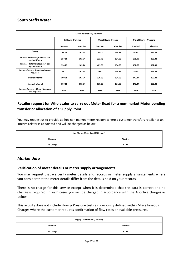#### **South Staffs Water**

| <b>Meter Re-location / Downsize</b>                 |                    |                 |                        |                 |                        |                 |  |
|-----------------------------------------------------|--------------------|-----------------|------------------------|-----------------|------------------------|-----------------|--|
|                                                     | In Hours - Daytime |                 | Out of Hours - Evening |                 | Out of Hours - Weekend |                 |  |
|                                                     | Standard           | <b>Abortive</b> | <b>Standard</b>        | <b>Abortive</b> | Standard               | <b>Abortive</b> |  |
| Survey                                              | 45.56              | 103.74          | 57.55                  | 134.93          | 64.65                  | 152.88          |  |
| Internal - External (Boundary box<br>required 25mm) | 257.66             | 103.74          | 332.75                 | 134.93          | 375.99                 | 152.88          |  |
| Internal - External (Boundary box<br>required 32mm) | 334.27             | 103.74          | 409.36                 | 134.93          | 452.60                 | 152.88          |  |
| Internal-External (Boundary box not<br>required)    | 61.71              | 103.74          | 79.02                  | 134.93          | 88.99                  | 152.88          |  |
| Internal-Internal                                   | 100.18             | 103.74          | 130.20                 | 134.93          | 147.47                 | 152.88          |  |
| <b>External-Internal</b>                            | 100.18             | 103.74          | 130.20                 | 134.93          | 147.47                 | 152.88          |  |
| Internal-External >40mm (Boundary<br>Box required)  | POA                | POA             | POA                    | POA             | POA                    | POA             |  |

## <span id="page-16-0"></span>**Retailer request for Wholesaler to carry out Meter Read for a non-market Meter pending transfer or allocation of a Supply Point**

You may request us to provide ad hoc non market meter readers where a customer transfers retailer or an interim relater is appointed and will be charged as below:

| Non Market Meter Read (B11 - aa1) |                 |  |  |  |
|-----------------------------------|-----------------|--|--|--|
| Standard                          | <b>Abortive</b> |  |  |  |
| <b>No Charge</b>                  | 87.11           |  |  |  |

#### <span id="page-16-1"></span>*Market data*

#### <span id="page-16-2"></span>**Verification of meter details or meter supply arrangements**

You may request that we verify meter details and records or meter supply arrangements where you consider that the meter details differ from the details held on your records.

There is no charge for this service except when it is determined that the data is correct and no change is required, in such cases you will be charged in accordance with the Abortive charges as below.

This activity does not include Flow & Pressure tests as previously defined within Miscellaneous Charges where the customer requires confirmation of flow rates or available pressures.

| Supply Confirmation (C1 - aa1) |                 |  |  |  |
|--------------------------------|-----------------|--|--|--|
| Standard                       | <b>Abortive</b> |  |  |  |
| No Charge                      | 87.11           |  |  |  |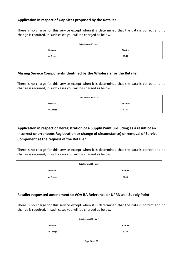#### <span id="page-17-0"></span>**Application in respect of Gap Sites proposed by the Retailer**

There is no charge for this service except when it is determined that the data is correct and no change is required, in such cases you will be charged as below.

| Data Review (C3 - aa1) |          |
|------------------------|----------|
| Standard               | Abortive |
| <b>No Charge</b>       | 87.11    |

#### <span id="page-17-1"></span>**Missing Service Components identified by the Wholesaler or the Retailer**

There is no charge for this service except when it is determined that the data is correct and no change is required, in such cases you will be charged as below.

| Data Review (C4 – aa1) |          |
|------------------------|----------|
| Standard               | Abortive |
| <b>No Charge</b>       | 87.11    |

## <span id="page-17-2"></span>**Application in respect of Deregistration of a Supply Point (including as a result of an incorrect or erroneous Registration or change of circumstance) or removal of Service Component at the request of the Retailer**

There is no charge for this service except when it is determined that the data is correct and no change is required, in such cases you will be charged as below.

| Data Review (C6 - aa1) |                 |
|------------------------|-----------------|
| Standard               | <b>Abortive</b> |
| <b>No Charge</b>       | 87.11           |

#### <span id="page-17-3"></span>**Retailer requested amendment to VOA BA Reference or UPRN at a Supply Point**

There is no charge for this service except when it is determined that the data is correct and no change is required, in such cases you will be charged as below.

| Data Review (C7 - aa1) |                 |
|------------------------|-----------------|
| Standard               | <b>Abortive</b> |
| <b>No Charge</b>       | 87.11           |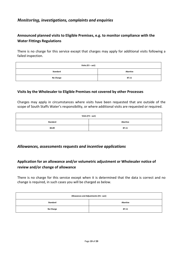#### <span id="page-18-0"></span>*Monitoring, investigations, complaints and enquiries*

## <span id="page-18-1"></span>**Announced planned visits to Eligible Premises, e.g. to monitor compliance with the Water Fittings Regulations**

There is no charge for this service except that charges may apply for additional visits following a failed inspection.

| Visits (F2 - aa1) |          |
|-------------------|----------|
| Standard          | Abortive |
| <b>No Charge</b>  | 87.11    |

#### <span id="page-18-2"></span>**Visits by the Wholesaler to Eligible Premises not covered by other Processes**

Charges may apply in circumstances where visits have been requested that are outside of the scope of South Staffs Water's responsibility, or where additional visits are requested or required.

| Visits (F3 – aa1) |          |
|-------------------|----------|
| Standard          | Abortive |
| 84.89             | 87.11    |

#### <span id="page-18-3"></span>*Allowances, assessments requests and incentive applications*

#### <span id="page-18-4"></span>**Application for an allowance and/or volumetric adjustment or Wholesaler notice of review and/or change of allowance**

There is no charge for this service except when it is determined that the data is correct and no change is required, in such cases you will be charged as below.

<span id="page-18-5"></span>

| Allowances and Adjustments (H1-aa1) |                 |
|-------------------------------------|-----------------|
| <b>Standard</b>                     | <b>Abortive</b> |
| No Charge                           | 87.11           |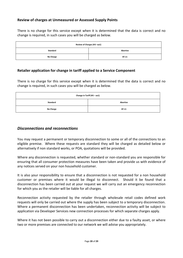#### **Review of charges at Unmeasured or Assessed Supply Points**

There is no charge for this service except when it is determined that the data is correct and no change is required, in such cases you will be charged as below.

| Review of Charges (H3-aa1) |          |
|----------------------------|----------|
| Standard                   | Abortive |
| No Charge                  | 87.11    |

#### <span id="page-19-0"></span>**Retailer application for change in tariff applied to a Service Component**

There is no charge for this service except when it is determined that the data is correct and no change is required, in such cases you will be charged as below.

| Change in Tariff (H5 - aa1) |          |
|-----------------------------|----------|
| Standard                    | Abortive |
| No Charge                   | 87.11    |

#### <span id="page-19-1"></span>*Disconnections and reconnections*

You may request a permanent or temporary disconnection to some or all of the connections to an eligible premise. Where these requests are standard they will be charged as detailed below or alternatively if non standard works, or POA, quotations will be provided.

Where any disconnection is requested, whether standard or non-standard you are responsible for ensuring that all consumer protection measures have been taken and provide us with evidence of any notices served on your non household customer.

It is also your responsibility to ensure that a disconnection is not requested for a non household customer or premises where it would be illegal to disconnect. Should it be found that a disconnection has been carried out at your request we will carry out an emergency reconnection for which you as the retailer will be liable for all charges.

Reconnection activity requested by the retailer through wholesale retail codes defined work requests will only be carried out where the supply has been subject to a temporary disconnection. Where a permanent disconnection has been undertaken, reconnection activity will be subject to application via Developer Services new connection processes for which separate charges apply.

Where it has not been possible to carry out a disconnection either due to a faulty asset, or where two or more premises are connected to our network we will advise you appropriately.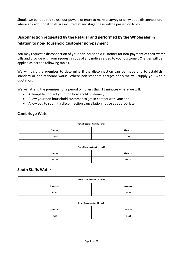Should we be required to use our powers of entry to make a survey or carry out a disconnection, where any additional costs are incurred at any stage these will be passed on to you.

## <span id="page-20-0"></span>**Disconnection requested by the Retailer and performed by the Wholesaler in relation to non-Household Customer non-payment**

You may request a disconnection of your non-household customer for non-payment of their water bills and provide with your request a copy of any notice served to your customer. Charges will be applied as per the following tables.

We will visit the premises to determine if the disconnection can be made and to establish if standard or non standard works. Where non-standard charges apply we will supply you with a quotation.

We will attend the premises for a period of no less than 15 minutes where we will:

- Attempt to contact your non household customer;
- Allow your non household customer to get in contact with you; and
- Allow you to submit a disconnection cancellation notice as appropriate

#### **Cambridge Water**

| Temp Disconnection (I1 - cw1) |          |
|-------------------------------|----------|
| Standard                      | Abortive |
| 23.96                         | 23.96    |

| Perm Disconnection (I1 - cw2) |                 |
|-------------------------------|-----------------|
| Standard                      | <b>Abortive</b> |
| 547.55                        | 547.55          |

#### **South Staffs Water**

| Temp Disconnection (I1 - ss1) |                 |
|-------------------------------|-----------------|
| Standard                      | <b>Abortive</b> |
| 23.96                         | 23.96           |

| Perm Disconnection (I1 - ss2) |                 |
|-------------------------------|-----------------|
| <b>Standard</b>               | <b>Abortive</b> |
| 431.39                        | 431.39          |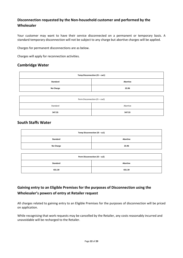## <span id="page-21-0"></span>**Disconnection requested by the Non-household customer and performed by the Wholesaler**

Your customer may want to have their service disconnected on a permanent or temporary basis. A standard temporary disconnection will not be subject to any charge but abortive charges will be applied.

Charges for permanent disconnections are as below.

Charges will apply for reconnection activities.

#### **Cambridge Water**

| Temp Disconnection (I5 - cw1) |                 |
|-------------------------------|-----------------|
| Standard                      | <b>Abortive</b> |
| <b>No Charge</b>              | 23.96           |
|                               |                 |

| Perm Disconnection (I5 - cw2) |          |
|-------------------------------|----------|
| Standard                      | Abortive |
| 547.55                        | 547.55   |

#### **South Staffs Water**

| Temp Disconnection (I5 - ss1) |                 |
|-------------------------------|-----------------|
| Standard                      | <b>Abortive</b> |
| No Charge                     | 23.96           |

| Perm Disconnection (I5 - ss2) |                 |
|-------------------------------|-----------------|
| Standard                      | <b>Abortive</b> |
| 431.39                        | 431.39          |

## <span id="page-21-1"></span>**Gaining entry to an Eligible Premises for the purposes of Disconnection using the Wholesaler's powers of entry at Retailer request**

All charges related to gaining entry to an Eligible Premises for the purposes of disconnection will be priced on application.

While recognising that work requests may be cancelled by the Retailer, any costs reasonably incurred and unavoidable will be recharged to the Retailer.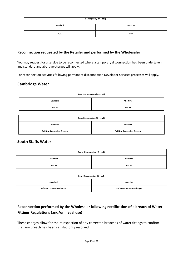| Gaining Entry (I7 - aa1) |          |
|--------------------------|----------|
| Standard                 | Abortive |
| POA                      | POA      |

#### <span id="page-22-0"></span>**Reconnection requested by the Retailer and performed by the Wholesaler**

You may request for a service to be reconnected where a temporary disconnection had been undertaken and standard and abortive charges will apply.

For reconnection activities following permanent disconnection Developer Services processes will apply.

#### **Cambridge Water**

| Temp Reconnection (I8 - cw1) |                 |
|------------------------------|-----------------|
| Standard                     | <b>Abortive</b> |
| 139.95                       | 139.95          |

| Perm Reconnection (I8 - cw2)      |                                   |
|-----------------------------------|-----------------------------------|
| Standard                          | Abortive                          |
| <b>Ref New Connection Charges</b> | <b>Ref New Connection Charges</b> |

#### **South Staffs Water**

| Temp Disconnection (I8 - ss1) |          |
|-------------------------------|----------|
| Standard                      | Abortive |
| 139.95                        | 139.95   |

| Perm Disconnection (I8 - ss2)     |                                   |
|-----------------------------------|-----------------------------------|
| <b>Standard</b>                   | <b>Abortive</b>                   |
| <b>Ref New Connection Charges</b> | <b>Ref New Connection Charges</b> |

## <span id="page-22-1"></span>**Reconnection performed by the Wholesaler following rectification of a breach of Water Fittings Regulations (and/or illegal use)**

These charges allow for the reinspection of any corrected breaches of water fittings to confirm that any breach has been satisfactorily resolved.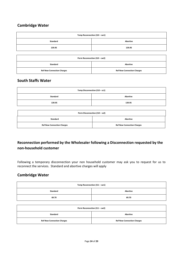## **Cambridge Water**

| Temp Reconnection (I10 - cw1) |          |
|-------------------------------|----------|
| Standard                      | Abortive |
| 139.95                        | 139.95   |

| Perm Reconnection (I10 - cw2)     |                                   |
|-----------------------------------|-----------------------------------|
| <b>Standard</b>                   | Abortive                          |
| <b>Ref New Connection Charges</b> | <b>Ref New Connection Charges</b> |

#### **South Staffs Water**

| Temp Disconnection (I10 - ss1) |          |
|--------------------------------|----------|
| Standard                       | Abortive |
| 139.95                         | 139.95   |

| Perm Disconnection (I10 - ss2)    |                                   |
|-----------------------------------|-----------------------------------|
| Standard                          | <b>Abortive</b>                   |
| <b>Ref New Connection Charges</b> | <b>Ref New Connection Charges</b> |

## <span id="page-23-0"></span>**Reconnection performed by the Wholesaler following a Disconnection requested by the non-household customer**

Following a temporary disconnection your non household customer may ask you to request for us to reconnect the services. Standard and abortive charges will apply

#### **Cambridge Water**

| Temp Reconnection (I11 - cw1) |                 |
|-------------------------------|-----------------|
| Standard                      | <b>Abortive</b> |
| 69.70                         | 69.70           |

| Perm Reconnection (I11 - cw2)     |                                   |
|-----------------------------------|-----------------------------------|
| <b>Standard</b>                   | <b>Abortive</b>                   |
| <b>Ref New Connection Charges</b> | <b>Ref New Connection Charges</b> |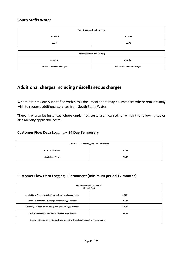#### **South Staffs Water**

| Temp Disconnection (I11 - ss1)    |                                   |  |
|-----------------------------------|-----------------------------------|--|
| Standard                          | <b>Abortive</b>                   |  |
| 6970                              | 69.70                             |  |
|                                   |                                   |  |
| Perm Disconnection (I11-ss2)      |                                   |  |
| Standard                          | Abortive                          |  |
| <b>Ref New Connection Charges</b> | <b>Ref New Connection Charges</b> |  |

## <span id="page-24-0"></span>**Additional charges including miscellaneous charges**

Where not previously identified within this document there may be instances where retailers may wish to request additional services from South Staffs Water.

There may also be instances where unplanned costs are incurred for which the following tables also identify applicable costs.

#### <span id="page-24-1"></span>**Customer Flow Data Logging – 14 Day Temporary**

| Customer Flow Data Logging - one off charge |       |
|---------------------------------------------|-------|
| <b>South Staffs Water</b>                   | 81.67 |
| <b>Cambridge Water</b>                      | 81.67 |

#### <span id="page-24-2"></span>**Customer Flow Data Logging – Permanent (minimum period 12 months)**

| <b>Customer Flow Data Logging</b><br><b>Monthly Cost</b>                             |        |
|--------------------------------------------------------------------------------------|--------|
| South Staffs Water - initial set up cost per new logged meter                        | 53.38* |
| South Staffs Water - existing wholesaler logged meter                                | 12.81  |
| Cambridge Water - initial set up cost per new logged meter                           | 53.38* |
| South Staffs Water - existing wholesaler logged meter                                | 12.81  |
| * Logger maintenance service costs are agreed with applicant subject to requirements |        |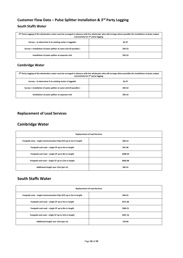## <span id="page-25-0"></span>**Customer Flow Data – Pulse Splitter Installation & 3rd Party Logging**

#### **South Staffs Water**

| 3 <sup>Rd</sup> Party Logging of the wholesalers meter must be arranged in advance with the wholesaler who will arrange where possible the installation of pulse output<br>connectivity for 3 <sup>rd</sup> party logging. |        |
|----------------------------------------------------------------------------------------------------------------------------------------------------------------------------------------------------------------------------|--------|
| Survey – to determine if an existing meter is loggable                                                                                                                                                                     | 81.67  |
| Survey + installation of pulse splitter at same visit (if possible)                                                                                                                                                        | 292.52 |
| Installation of pulse splitter at separate visit                                                                                                                                                                           | 292.52 |

#### **Cambridge Water**

| 3 <sup>Rd</sup> Party Logging of the wholesalers meter must be arranged in advance with the wholesaler who will arrange where possible the installation of pulse output<br>connectivity for 3 <sup>rd</sup> party logging. |        |
|----------------------------------------------------------------------------------------------------------------------------------------------------------------------------------------------------------------------------|--------|
| Survey – to determine if an existing meter is loggable                                                                                                                                                                     | 81.67  |
| Survey + installation of pulse splitter at same visit (if possible)                                                                                                                                                        | 292.52 |
| Installation of pulse splitter at separate visit                                                                                                                                                                           | 292.52 |

## <span id="page-25-1"></span>**Replacement of Lead Services**

## **Cambridge Water**

| <b>Replacement of Lead Services</b>                               |         |
|-------------------------------------------------------------------|---------|
| Footpath only - single Communication Pipe (CP) up to 2m in length | 666.53  |
| Footpath and road – single CP up to 4m in length                  | 941.96  |
| Footpath and road - single CP up to 8m in length                  | 1698.59 |
| Footpath and road - single CP up to 12m in length                 | 2660.98 |
| Additional length over 12m (per m)                                | 302.41  |

## **South Staffs Water**

| <b>Replacement of Lead Services</b>                               |         |
|-------------------------------------------------------------------|---------|
| Footpath only - single Communication Pipe (CP) up to 2m in length | 843.01  |
| Footpath and road - single CP up to 4m in length                  | 1071.86 |
| Footpath and road - single CP up to 8m in length                  | 1384.51 |
| Footpath and road - single CP up to 12m in length                 | 1697.16 |
| Additional length over 12m (per m)                                | 139.96  |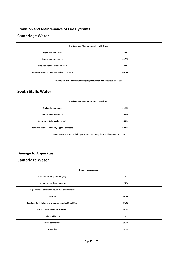# <span id="page-26-0"></span>**Provision and Maintenance of Fire Hydrants Cambridge Water**

| Provision and Maintenance of Fire Hydrants                                   |        |
|------------------------------------------------------------------------------|--------|
| Replace lid and cover                                                        | 226.67 |
| <b>Rebuild chamber and lid</b>                                               | 417.70 |
| Renew or install on existing main                                            | 737.07 |
| Renew or install as Main Laying (ML) proceeds                                | 487.04 |
| *where we incur additional third party costs these will be passed on at cost |        |

## **South Staffs Water**

| Provision and Maintenance of Fire Hydrants                                             |        |
|----------------------------------------------------------------------------------------|--------|
| Replace lid and cover                                                                  | 212.53 |
| <b>Rebuild chamber and lid</b>                                                         | 494.40 |
| Renew or install on existing main                                                      | 989.94 |
| Renew or install as Main Laying (ML) proceeds                                          | 908.11 |
| * where we incur additional charges from a third party these will be passed on at cost |        |

## <span id="page-26-1"></span>**Damage to Apparatus**

## **Cambridge Water**

| <b>Damage to Apparatus</b>                            |                          |
|-------------------------------------------------------|--------------------------|
| Contractor hourly rate per gang                       | $\overline{\phantom{a}}$ |
| Labour cost per hour per gang                         | 128.50                   |
| Inspectors and other staff hourly rate per individual | $\overline{\phantom{a}}$ |
| Normal                                                | 58.63                    |
| Sundays, Bank Holidays and between midnight and 8am   | 74.96                    |
| Other times outside normal hours                      | 66.20                    |
| Call out all labour                                   | $\overline{\phantom{a}}$ |
| Call out per individual                               | 38.11                    |
| <b>Admin fee</b>                                      | 30.18                    |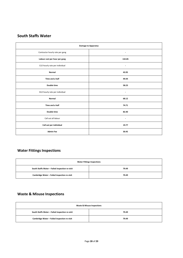## **South Staffs Water**

| <b>Damage to Apparatus</b>      |                          |
|---------------------------------|--------------------------|
| Contractor hourly rate per gang | $\overline{\phantom{a}}$ |
| Labour cost per hour per gang   | 132.85                   |
| CLO hourly rate per individual  | $\overline{\phantom{0}}$ |
| Normal                          | 43.95                    |
| Time and a half                 | 49.44                    |
| Double time                     | 58.23                    |
| DLO hourly rate per individual  | ۰                        |
| Normal                          | 68.12                    |
| Time and a half                 | 74.71                    |
| Double time                     | 82.40                    |
| Call out all labour             | $\overline{\phantom{0}}$ |
| Call out per individual         | 19.77                    |
| <b>Admin Fee</b>                | 30.45                    |

## <span id="page-27-0"></span>**Water Fittings Inspections**

| <b>Water Fittings Inspections</b>               |       |
|-------------------------------------------------|-------|
| South Staffs Water - Failed inspection re-visit | 79.49 |
| Cambridge Water - Failed inspection re-visit    | 79.49 |

## <span id="page-27-1"></span>**Waste & Misuse Inspections**

| <b>Waste &amp; Misuse Inspections</b>           |       |
|-------------------------------------------------|-------|
| South Staffs Water - Failed inspection re-visit | 79.49 |
| Cambridge Water - Failed inspection re-visit    | 79.49 |